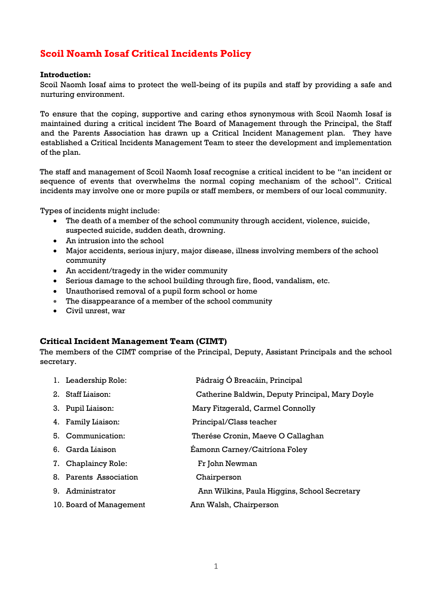# **Scoil Noamh Iosaf Critical Incidents Policy**

#### **Introduction:**

Scoil Naomh Iosaf aims to protect the well-being of its pupils and staff by providing a safe and nurturing environment.

To ensure that the coping, supportive and caring ethos synonymous with Scoil Naomh Iosaf is maintained during a critical incident The Board of Management through the Principal, the Staff and the Parents Association has drawn up a Critical Incident Management plan. They have established a Critical Incidents Management Team to steer the development and implementation of the plan.

The staff and management of Scoil Naomh Iosaf recognise a critical incident to be "an incident or sequence of events that overwhelms the normal coping mechanism of the school". Critical incidents may involve one or more pupils or staff members, or members of our local community.

Types of incidents might include**:**

- The death of a member of the school community through accident, violence, suicide, suspected suicide, sudden death, drowning.
- An intrusion into the school
- Major accidents, serious injury, major disease, illness involving members of the school community
- An accident/tragedy in the wider community
- Serious damage to the school building through fire, flood, vandalism, etc.
- Unauthorised removal of a pupil form school or home
- The disappearance of a member of the school community
- Civil unrest, war

#### **Critical Incident Management Team (CIMT)**

The members of the CIMT comprise of the Principal, Deputy, Assistant Principals and the school secretary.

| 1. Leadership Role:     | Pádraig Ó Breacáin, Principal                   |
|-------------------------|-------------------------------------------------|
| 2. Staff Liaison:       | Catherine Baldwin, Deputy Principal, Mary Doyle |
| 3. Pupil Liaison:       | Mary Fitzgerald, Carmel Connolly                |
| 4. Family Liaison:      | Principal/Class teacher                         |
| 5. Communication:       | Therése Cronin, Maeve O Callaghan               |
| 6. Garda Liaison        | Eamonn Carney/Caitríona Foley                   |
| 7. Chaplaincy Role:     | Fr John Newman                                  |
| 8. Parents Association  | Chairperson                                     |
| 9. Administrator        | Ann Wilkins, Paula Higgins, School Secretary    |
| 10. Board of Management | Ann Walsh, Chairperson                          |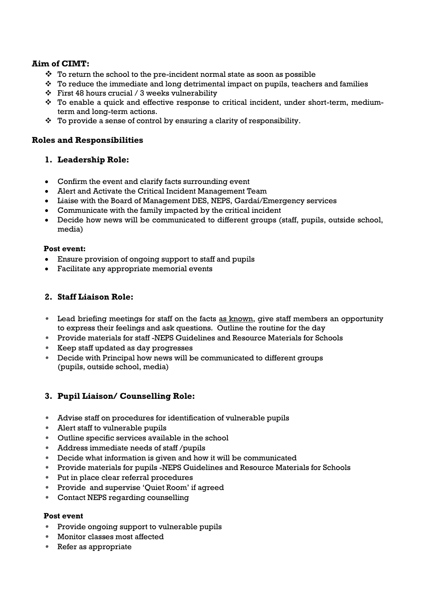# **Aim of CIMT:**

- $\hat{P}$  To return the school to the pre-incident normal state as soon as possible
- $\hat{P}$  To reduce the immediate and long detrimental impact on pupils, teachers and families
- $\div$  First 48 hours crucial / 3 weeks vulnerability
- To enable a quick and effective response to critical incident, under short-term, mediumterm and long-term actions.
- $\hat{P}$  To provide a sense of control by ensuring a clarity of responsibility.

#### **Roles and Responsibilities**

## **1. Leadership Role:**

- Confirm the event and clarify facts surrounding event
- Alert and Activate the Critical Incident Management Team
- Liaise with the Board of Management DES, NEPS, Gardaí/Emergency services
- Communicate with the family impacted by the critical incident
- Decide how news will be communicated to different groups (staff, pupils, outside school, media)

#### **Post event:**

- Ensure provision of ongoing support to staff and pupils
- Facilitate any appropriate memorial events

## **2. Staff Liaison Role:**

- *•* Lead briefing meetings for staff on the facts as known, give staff members an opportunity to express their feelings and ask questions. Outline the routine for the day
- *•* Provide materials for staff -NEPS Guidelines and Resource Materials for Schools
- *•* Keep staff updated as day progresses
- *•* Decide with Principal how news will be communicated to different groups (pupils, outside school, media)

# **3. Pupil Liaison/ Counselling Role:**

- *•* Advise staff on procedures for identification of vulnerable pupils
- *•* Alert staff to vulnerable pupils
- *•* Outline specific services available in the school
- *•* Address immediate needs of staff /pupils
- *•* Decide what information is given and how it will be communicated
- *•* Provide materials for pupils -NEPS Guidelines and Resource Materials for Schools
- *•* Put in place clear referral procedures
- *•* Provide and supervise 'Quiet Room' if agreed
- *•* Contact NEPS regarding counselling

#### **Post event**

- *•* Provide ongoing support to vulnerable pupils
- *•* Monitor classes most affected
- *•* Refer as appropriate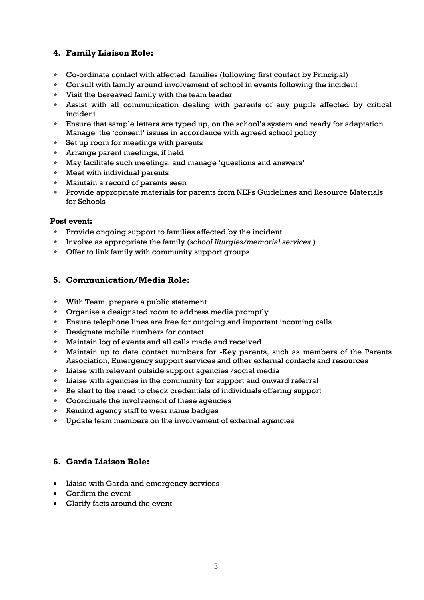# **4. Family Liaison Role:**

- *•* Co-ordinate contact with affected families (following first contact by Principal)
- *•* Consult with family around involvement of school in events following the incident
- *•* Visit the bereaved family with the team leader
- *•* Assist with all communication dealing with parents of any pupils affected by critical incident
- *•* Ensure that sample letters are typed up, on the school's system and ready for adaptation Manage the 'consent' issues in accordance with agreed school policy
- *•* Set up room for meetings with parents
- *•* Arrange parent meetings, if held
- *•* May facilitate such meetings, and manage 'questions and answers'
- *•* Meet with individual parents
- *•* Maintain a record of parents seen
- *•* Provide appropriate materials for parents from NEPs Guidelines and Resource Materials for Schools

#### **Post event:**

- *•* Provide ongoing support to families affected by the incident
- *•* Involve as appropriate the family (*school liturgies/memorial services* )
- *•* Offer to link family with community support groups

## **5. Communication/Media Role:**

- *•* With Team, prepare a public statement
- *•* Organise a designated room to address media promptly
- *•* Ensure telephone lines are free for outgoing and important incoming calls
- *•* Designate mobile numbers for contact
- *•* Maintain log of events and all calls made and received
- *•* Maintain up to date contact numbers for -Key parents, such as members of the Parents Association, Emergency support services and other external contacts and resources
- *•* Liaise with relevant outside support agencies /social media
- *•* Liaise with agencies in the community for support and onward referral
- *•* Be alert to the need to check credentials of individuals offering support
- *•* Coordinate the involvement of these agencies
- *•* Remind agency staff to wear name badges
- *•* Update team members on the involvement of external agencies

## **6. Garda Liaison Role:**

- Liaise with Garda and emergency services
- Confirm the event
- Clarify facts around the event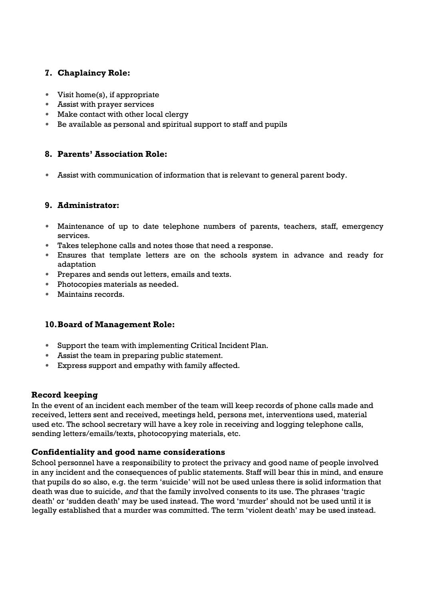# **7. Chaplaincy Role:**

- *•* Visit home(s), if appropriate
- *•* Assist with prayer services
- *•* Make contact with other local clergy
- *•* Be available as personal and spiritual support to staff and pupils

# **8. Parents' Association Role:**

*•* Assist with communication of information that is relevant to general parent body.

## **9. Administrator:**

- *•* Maintenance of up to date telephone numbers of parents, teachers, staff, emergency services.
- *•* Takes telephone calls and notes those that need a response.
- *•* Ensures that template letters are on the schools system in advance and ready for adaptation
- *•* Prepares and sends out letters, emails and texts.
- *•* Photocopies materials as needed.
- *•* Maintains records.

## **10.Board of Management Role:**

- *•* Support the team with implementing Critical Incident Plan.
- *•* Assist the team in preparing public statement.
- *•* Express support and empathy with family affected.

#### **Record keeping**

In the event of an incident each member of the team will keep records of phone calls made and received, letters sent and received, meetings held, persons met, interventions used, material used etc. The school secretary will have a key role in receiving and logging telephone calls, sending letters/emails/texts, photocopying materials, etc.

## **Confidentiality and good name considerations**

School personnel have a responsibility to protect the privacy and good name of people involved in any incident and the consequences of public statements. Staff will bear this in mind, and ensure that pupils do so also, e.g. the term 'suicide' will not be used unless there is solid information that death was due to suicide, *and* that the family involved consents to its use. The phrases 'tragic death' or 'sudden death' may be used instead. The word 'murder' should not be used until it is legally established that a murder was committed. The term 'violent death' may be used instead.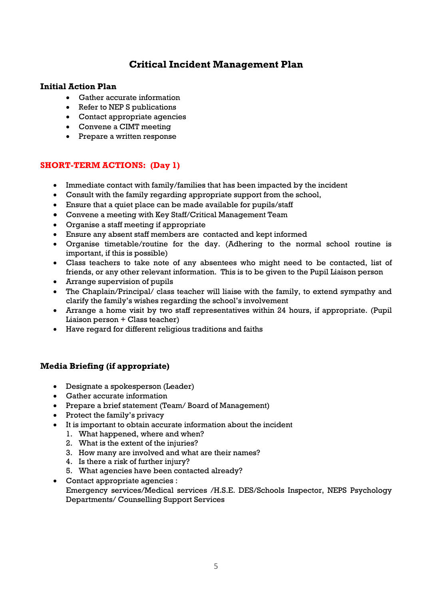# **Critical Incident Management Plan**

#### **Initial Action Plan**

- Gather accurate information
- Refer to NEP S publications
- Contact appropriate agencies
- Convene a CIMT meeting
- Prepare a written response

#### **SHORT-TERM ACTIONS: (Day 1)**

- Immediate contact with family/families that has been impacted by the incident
- Consult with the family regarding appropriate support from the school,
- Ensure that a quiet place can be made available for pupils/staff
- Convene a meeting with Key Staff/Critical Management Team
- Organise a staff meeting if appropriate
- Ensure any absent staff members are contacted and kept informed
- Organise timetable/routine for the day. (Adhering to the normal school routine is important, if this is possible)
- Class teachers to take note of any absentees who might need to be contacted, list of friends, or any other relevant information. This is to be given to the Pupil Liaison person
- Arrange supervision of pupils
- The Chaplain/Principal/ class teacher will liaise with the family, to extend sympathy and clarify the family's wishes regarding the school's involvement
- Arrange a home visit by two staff representatives within 24 hours, if appropriate. (Pupil Liaison person + Class teacher)
- Have regard for different religious traditions and faiths

## **Media Briefing (if appropriate)**

- Designate a spokesperson (Leader)
- Gather accurate information
- Prepare a brief statement (Team/ Board of Management)
- Protect the family's privacy
- It is important to obtain accurate information about the incident
	- 1. What happened, where and when?
	- 2. What is the extent of the injuries?
	- 3. How many are involved and what are their names?
	- 4. Is there a risk of further injury?
	- 5. What agencies have been contacted already?
- Contact appropriate agencies : Emergency services/Medical services /H.S.E. DES/Schools Inspector, NEPS Psychology Departments/ Counselling Support Services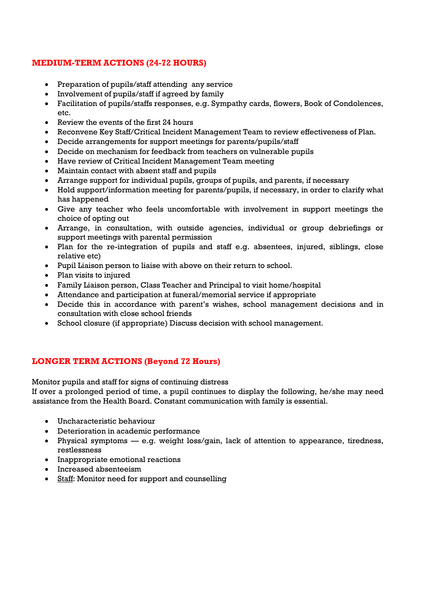# **MEDIUM-TERM ACTIONS (24-72 HOURS)**

- Preparation of pupils/staff attending any service
- Involvement of pupils/staff if agreed by family
- Facilitation of pupils/staffs responses, e.g. Sympathy cards, flowers, Book of Condolences, etc.
- Review the events of the first 24 hours
- Reconvene Key Staff/Critical Incident Management Team to review effectiveness of Plan.
- Decide arrangements for support meetings for parents/pupils/staff
- Decide on mechanism for feedback from teachers on vulnerable pupils
- Have review of Critical Incident Management Team meeting
- Maintain contact with absent staff and pupils
- Arrange support for individual pupils, groups of pupils, and parents, if necessary
- Hold support/information meeting for parents/pupils, if necessary, in order to clarify what has happened
- Give any teacher who feels uncomfortable with involvement in support meetings the choice of opting out
- Arrange, in consultation, with outside agencies, individual or group debriefings or support meetings with parental permission
- Plan for the re-integration of pupils and staff e.g. absentees, injured, siblings, close relative etc)
- Pupil Liaison person to liaise with above on their return to school.
- Plan visits to injured
- Family Liaison person, Class Teacher and Principal to visit home/hospital
- Attendance and participation at funeral/memorial service if appropriate
- Decide this in accordance with parent's wishes, school management decisions and in consultation with close school friends
- School closure (if appropriate) Discuss decision with school management.

# **LONGER TERM ACTIONS (Beyond 72 Hours)**

Monitor pupils and staff for signs of continuing distress

If over a prolonged period of time, a pupil continues to display the following, he/she may need assistance from the Health Board. Constant communication with family is essential.

- Uncharacteristic behaviour
- Deterioration in academic performance
- Physical symptoms e.g. weight loss/gain, lack of attention to appearance, tiredness, restlessness
- Inappropriate emotional reactions
- Increased absenteeism
- Staff: Monitor need for support and counselling